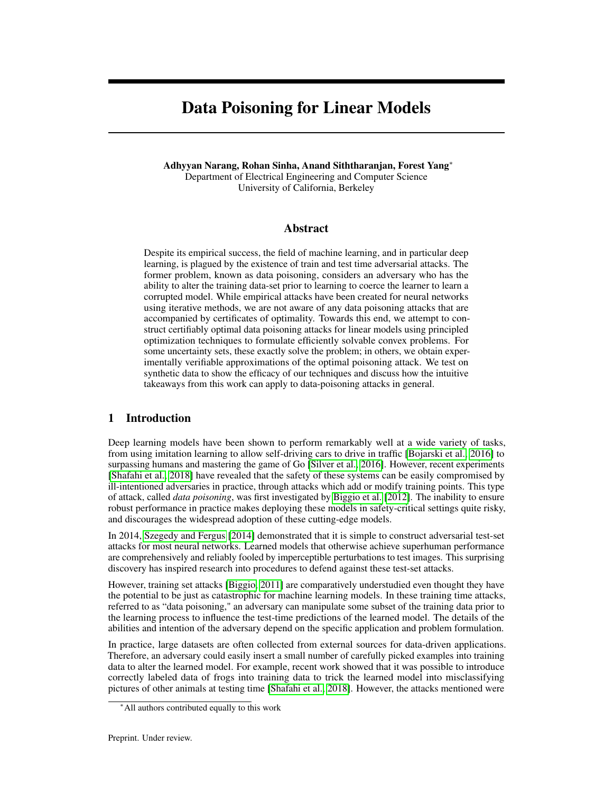# Data Poisoning for Linear Models

Adhyyan Narang, Rohan Sinha, Anand Siththaranjan, Forest Yang<sup>∗</sup> Department of Electrical Engineering and Computer Science University of California, Berkeley

# Abstract

Despite its empirical success, the field of machine learning, and in particular deep learning, is plagued by the existence of train and test time adversarial attacks. The former problem, known as data poisoning, considers an adversary who has the ability to alter the training data-set prior to learning to coerce the learner to learn a corrupted model. While empirical attacks have been created for neural networks using iterative methods, we are not aware of any data poisoning attacks that are accompanied by certificates of optimality. Towards this end, we attempt to construct certifiably optimal data poisoning attacks for linear models using principled optimization techniques to formulate efficiently solvable convex problems. For some uncertainty sets, these exactly solve the problem; in others, we obtain experimentally verifiable approximations of the optimal poisoning attack. We test on synthetic data to show the efficacy of our techniques and discuss how the intuitive takeaways from this work can apply to data-poisoning attacks in general.

# 1 Introduction

Deep learning models have been shown to perform remarkably well at a wide variety of tasks, from using imitation learning to allow self-driving cars to drive in traffic [\[Bojarski et al., 2016\]](#page-11-0) to surpassing humans and mastering the game of Go [\[Silver et al., 2016\]](#page-11-1). However, recent experiments [\[Shafahi et al., 2018\]](#page-11-2) have revealed that the safety of these systems can be easily compromised by ill-intentioned adversaries in practice, through attacks which add or modify training points. This type of attack, called *data poisoning*, was first investigated by [Biggio et al.](#page-11-3) [\[2012\]](#page-11-3). The inability to ensure robust performance in practice makes deploying these models in safety-critical settings quite risky, and discourages the widespread adoption of these cutting-edge models.

In 2014, [Szegedy and Fergus](#page-11-4) [\[2014\]](#page-11-4) demonstrated that it is simple to construct adversarial test-set attacks for most neural networks. Learned models that otherwise achieve superhuman performance are comprehensively and reliably fooled by imperceptible perturbations to test images. This surprising discovery has inspired research into procedures to defend against these test-set attacks.

However, training set attacks [\[Biggio, 2011\]](#page-11-5) are comparatively understudied even thought they have the potential to be just as catastrophic for machine learning models. In these training time attacks, referred to as "data poisoning," an adversary can manipulate some subset of the training data prior to the learning process to influence the test-time predictions of the learned model. The details of the abilities and intention of the adversary depend on the specific application and problem formulation.

In practice, large datasets are often collected from external sources for data-driven applications. Therefore, an adversary could easily insert a small number of carefully picked examples into training data to alter the learned model. For example, recent work showed that it was possible to introduce correctly labeled data of frogs into training data to trick the learned model into misclassifying pictures of other animals at testing time [\[Shafahi et al., 2018\]](#page-11-2). However, the attacks mentioned were

<sup>∗</sup>All authors contributed equally to this work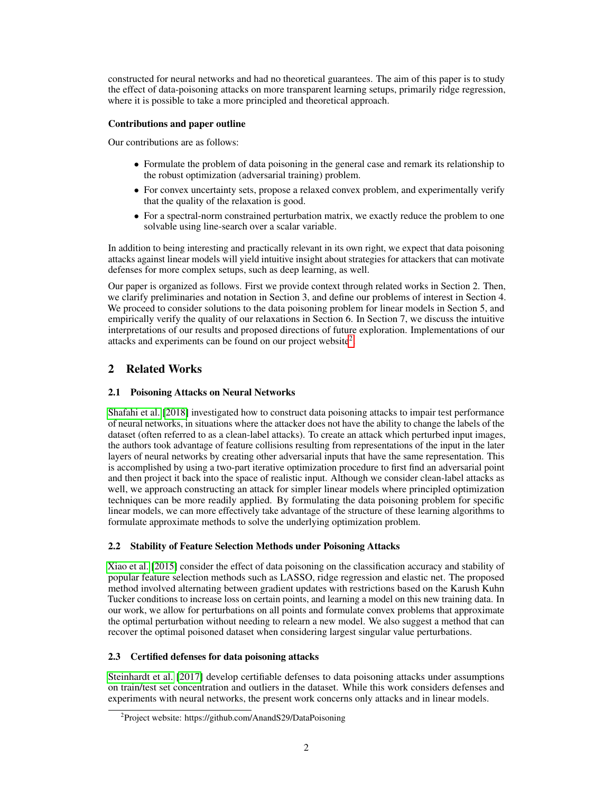constructed for neural networks and had no theoretical guarantees. The aim of this paper is to study the effect of data-poisoning attacks on more transparent learning setups, primarily ridge regression, where it is possible to take a more principled and theoretical approach.

# Contributions and paper outline

Our contributions are as follows:

- Formulate the problem of data poisoning in the general case and remark its relationship to the robust optimization (adversarial training) problem.
- For convex uncertainty sets, propose a relaxed convex problem, and experimentally verify that the quality of the relaxation is good.
- For a spectral-norm constrained perturbation matrix, we exactly reduce the problem to one solvable using line-search over a scalar variable.

In addition to being interesting and practically relevant in its own right, we expect that data poisoning attacks against linear models will yield intuitive insight about strategies for attackers that can motivate defenses for more complex setups, such as deep learning, as well.

Our paper is organized as follows. First we provide context through related works in Section 2. Then, we clarify preliminaries and notation in Section 3, and define our problems of interest in Section 4. We proceed to consider solutions to the data poisoning problem for linear models in Section 5, and empirically verify the quality of our relaxations in Section 6. In Section 7, we discuss the intuitive interpretations of our results and proposed directions of future exploration. Implementations of our attacks and experiments can be found on our project website<sup>[2](#page-1-0)</sup>.

# 2 Related Works

# 2.1 Poisoning Attacks on Neural Networks

[Shafahi et al.](#page-11-2) [\[2018\]](#page-11-2) investigated how to construct data poisoning attacks to impair test performance of neural networks, in situations where the attacker does not have the ability to change the labels of the dataset (often referred to as a clean-label attacks). To create an attack which perturbed input images, the authors took advantage of feature collisions resulting from representations of the input in the later layers of neural networks by creating other adversarial inputs that have the same representation. This is accomplished by using a two-part iterative optimization procedure to first find an adversarial point and then project it back into the space of realistic input. Although we consider clean-label attacks as well, we approach constructing an attack for simpler linear models where principled optimization techniques can be more readily applied. By formulating the data poisoning problem for specific linear models, we can more effectively take advantage of the structure of these learning algorithms to formulate approximate methods to solve the underlying optimization problem.

### 2.2 Stability of Feature Selection Methods under Poisoning Attacks

[Xiao et al.](#page-11-6) [\[2015\]](#page-11-6) consider the effect of data poisoning on the classification accuracy and stability of popular feature selection methods such as LASSO, ridge regression and elastic net. The proposed method involved alternating between gradient updates with restrictions based on the Karush Kuhn Tucker conditions to increase loss on certain points, and learning a model on this new training data. In our work, we allow for perturbations on all points and formulate convex problems that approximate the optimal perturbation without needing to relearn a new model. We also suggest a method that can recover the optimal poisoned dataset when considering largest singular value perturbations.

# 2.3 Certified defenses for data poisoning attacks

[Steinhardt et al.](#page-11-7) [\[2017\]](#page-11-7) develop certifiable defenses to data poisoning attacks under assumptions on train/test set concentration and outliers in the dataset. While this work considers defenses and experiments with neural networks, the present work concerns only attacks and in linear models.

<span id="page-1-0"></span><sup>&</sup>lt;sup>2</sup>Project website: https://github.com/AnandS29/DataPoisoning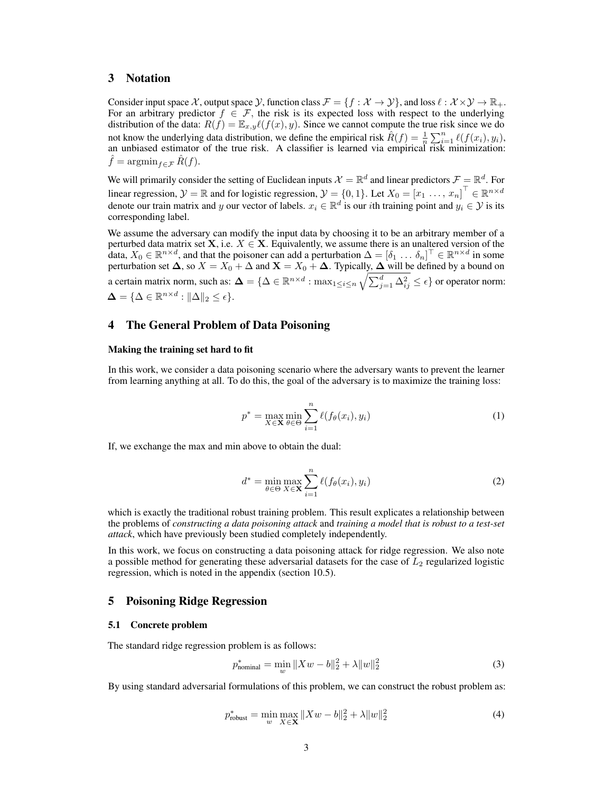# 3 Notation

Consider input space X, output space  $\mathcal{Y}$ , function class  $\mathcal{F} = \{f : \mathcal{X} \to \mathcal{Y}\}\$ , and loss  $\ell : \mathcal{X} \times \mathcal{Y} \to \mathbb{R}_+$ . For an arbitrary predictor  $f \in \mathcal{F}$ , the risk is its expected loss with respect to the underlying distribution of the data:  $R(f) = \mathbb{E}_{x,y}\ell(f(x), y)$ . Since we cannot compute the true risk since we do not know the underlying data distribution, we define the empirical risk  $\hat{R}(f) = \frac{1}{n} \sum_{i=1}^{n} \ell(f(x_i), y_i)$ , an unbiased estimator of the true risk. A classifier is learned via empirical risk minimization:  $\hat{f} = \operatorname{argmin}_{f \in \mathcal{F}} \hat{R}(f).$ 

We will primarily consider the setting of Euclidean inputs  $\mathcal{X} = \mathbb{R}^d$  and linear predictors  $\mathcal{F} = \mathbb{R}^d$ . For linear regression,  $\mathcal{Y} = \mathbb{R}$  and for logistic regression,  $\mathcal{Y} = \{0, 1\}$ . Let  $X_0 = \begin{bmatrix} x_1 & \dots & x_n \end{bmatrix}^\top \in \mathbb{R}^{n \times d}$ denote our train matrix and y our vector of labels.  $x_i \in \mathbb{R}^d$  is our *i*th training point and  $y_i \in \mathcal{Y}$  is its corresponding label.

We assume the adversary can modify the input data by choosing it to be an arbitrary member of a perturbed data matrix set **X**, i.e.  $X \in \mathbf{X}$ . Equivalently, we assume there is an unaltered version of the data,  $X_0 \in \mathbb{R}^{n \times d}$ , and that the poisoner can add a perturbation  $\Delta = [\delta_1 \dots \delta_n]^\top \in \mathbb{R}^{n \times d}$  in some perturbation set  $\Delta$ , so  $X = X_0 + \Delta$  and  $\mathbf{X} = X_0 + \Delta$ . Typically,  $\Delta$  will be defined by a bound on a certain matrix norm, such as:  $\bm{\Delta}=\{\Delta\in\mathbb{R}^{n\times d}: \max_{1\leq i\leq n}\sqrt{\sum_{j=1}^d\Delta_{ij}^2}\leq \epsilon\}$  or operator norm:  $\mathbf{\Delta} = \{ \Delta \in \mathbb{R}^{n \times d} : ||\Delta||_2 \leq \epsilon \}.$ 

# 4 The General Problem of Data Poisoning

#### Making the training set hard to fit

In this work, we consider a data poisoning scenario where the adversary wants to prevent the learner from learning anything at all. To do this, the goal of the adversary is to maximize the training loss:

$$
p^* = \max_{X \in \mathbf{X}} \min_{\theta \in \Theta} \sum_{i=1}^n \ell(f_{\theta}(x_i), y_i)
$$
(1)

If, we exchange the max and min above to obtain the dual:

$$
d^* = \min_{\theta \in \Theta} \max_{X \in \mathbf{X}} \sum_{i=1}^n \ell(f_{\theta}(x_i), y_i)
$$
 (2)

which is exactly the traditional robust training problem. This result explicates a relationship between the problems of *constructing a data poisoning attack* and *training a model that is robust to a test-set attack*, which have previously been studied completely independently.

In this work, we focus on constructing a data poisoning attack for ridge regression. We also note a possible method for generating these adversarial datasets for the case of  $L_2$  regularized logistic regression, which is noted in the appendix (section 10.5).

#### 5 Poisoning Ridge Regression

#### 5.1 Concrete problem

The standard ridge regression problem is as follows:

$$
p_{\text{nominal}}^{*} = \min_{w} \|Xw - b\|_{2}^{2} + \lambda \|w\|_{2}^{2}
$$
 (3)

By using standard adversarial formulations of this problem, we can construct the robust problem as:

$$
p_{\text{robust}}^{*} = \min_{w} \max_{X \in \mathbf{X}} \|Xw - b\|_{2}^{2} + \lambda \|w\|_{2}^{2}
$$
 (4)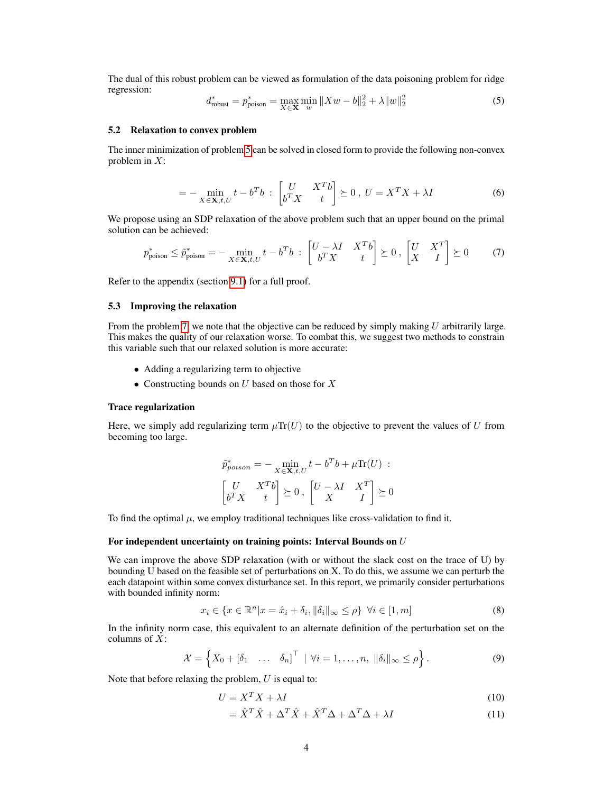<span id="page-3-0"></span>The dual of this robust problem can be viewed as formulation of the data poisoning problem for ridge regression:

$$
d_{\text{robust}}^* = p_{\text{poison}}^* = \max_{X \in \mathbf{X}} \min_{w} \|Xw - b\|_2^2 + \lambda \|w\|_2^2 \tag{5}
$$

#### 5.2 Relaxation to convex problem

The inner minimization of problem [5](#page-3-0) can be solved in closed form to provide the following non-convex problem in  $X$ :

<span id="page-3-1"></span>
$$
= -\min_{X \in \mathbf{X}, t, U} t - b^T b \; : \; \begin{bmatrix} U & X^T b \\ b^T X & t \end{bmatrix} \succeq 0 \; , \; U = X^T X + \lambda I \tag{6}
$$

We propose using an SDP relaxation of the above problem such that an upper bound on the primal solution can be achieved:

$$
p_{\text{poison}}^* \le \tilde{p}_{\text{poison}}^* = -\min_{X \in \mathbf{X}, t, U} t - b^T b \; : \; \begin{bmatrix} U - \lambda I & X^T b \\ b^T X & t \end{bmatrix} \succeq 0 \; , \; \begin{bmatrix} U & X^T \\ X & I \end{bmatrix} \succeq 0 \tag{7}
$$

Refer to the appendix (section [9.1\)](#page-12-0) for a full proof.

#### 5.3 Improving the relaxation

From the problem [7,](#page-3-1) we note that the objective can be reduced by simply making U arbitrarily large. This makes the quality of our relaxation worse. To combat this, we suggest two methods to constrain this variable such that our relaxed solution is more accurate:

- Adding a regularizing term to objective
- Constructing bounds on  $U$  based on those for  $X$

#### Trace regularization

Here, we simply add regularizing term  $\mu Tr(U)$  to the objective to prevent the values of U from becoming too large.

$$
\tilde{p}_{poison}^* = -\min_{X \in \mathbf{X}, t, U} t - b^T b + \mu \text{Tr}(U) : \\ \begin{bmatrix} U & X^T b \\ b^T X & t \end{bmatrix} \succeq 0, \begin{bmatrix} U - \lambda I & X^T \\ X & I \end{bmatrix} \succeq 0
$$

To find the optimal  $\mu$ , we employ traditional techniques like cross-validation to find it.

#### For independent uncertainty on training points: Interval Bounds on U

We can improve the above SDP relaxation (with or without the slack cost on the trace of U) by bounding U based on the feasible set of perturbations on X. To do this, we assume we can perturb the each datapoint within some convex disturbance set. In this report, we primarily consider perturbations with bounded infinity norm:

$$
x_i \in \{x \in \mathbb{R}^n | x = \hat{x}_i + \delta_i, \|\delta_i\|_{\infty} \le \rho\} \quad \forall i \in [1, m]
$$
\n
$$
(8)
$$

In the infinity norm case, this equivalent to an alternate definition of the perturbation set on the columns of  $\overline{X}$ :

$$
\mathcal{X} = \left\{ X_0 + \begin{bmatrix} \delta_1 & \dots & \delta_n \end{bmatrix}^\top \mid \forall i = 1, \dots, n, \|\delta_i\|_\infty \le \rho \right\}.
$$
 (9)

Note that before relaxing the problem,  $U$  is equal to:

$$
U = X^T X + \lambda I \tag{10}
$$

$$
= \hat{X}^T \hat{X} + \Delta^T \hat{X} + \hat{X}^T \Delta + \Delta^T \Delta + \lambda I \tag{11}
$$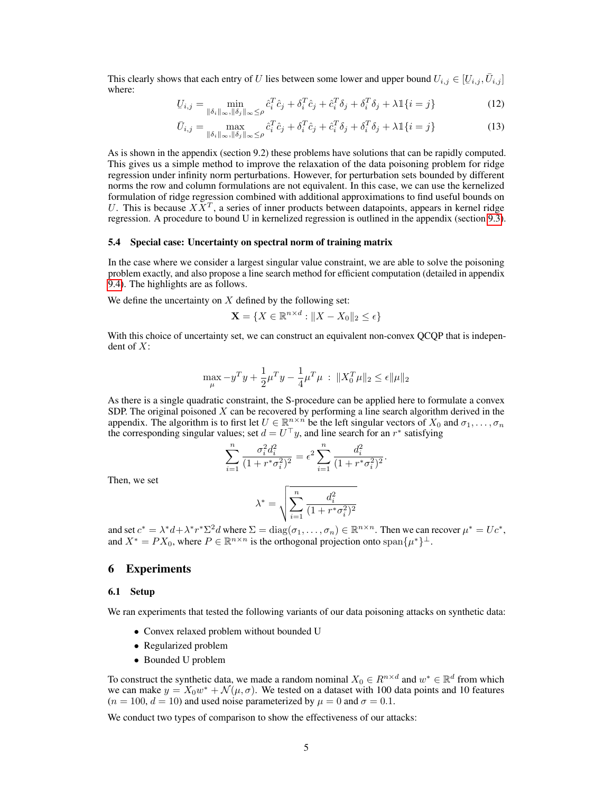This clearly shows that each entry of U lies between some lower and upper bound  $U_{i,j} \in [U_{i,j}, \bar{U}_{i,j}]$ <br>where: where:

$$
\underline{U}_{i,j} = \min_{\|\delta_i\|_{\infty}, \|\delta_j\|_{\infty} \leq \rho} \hat{c}_i^T \hat{c}_j + \delta_i^T \hat{c}_j + \hat{c}_i^T \delta_j + \delta_i^T \delta_j + \lambda \mathbb{1}\{i = j\}
$$
(12)

$$
\bar{U}_{i,j} = \max_{\|\delta_i\|_{\infty}, \|\delta_j\|_{\infty} \leq \rho} \hat{c}_i^T \hat{c}_j + \delta_i^T \hat{c}_j + \hat{c}_i^T \delta_j + \delta_i^T \delta_j + \lambda \mathbb{1}\{i = j\}
$$
\n(13)

As is shown in the appendix (section 9.2) these problems have solutions that can be rapidly computed. This gives us a simple method to improve the relaxation of the data poisoning problem for ridge regression under infinity norm perturbations. However, for perturbation sets bounded by different norms the row and column formulations are not equivalent. In this case, we can use the kernelized formulation of ridge regression combined with additional approximations to find useful bounds on U. This is because  $X\bar{X}^T$ , a series of inner products between datapoints, appears in kernel ridge regression. A procedure to bound U in kernelized regression is outlined in the appendix (section [9.3\)](#page-14-0).

#### 5.4 Special case: Uncertainty on spectral norm of training matrix

In the case where we consider a largest singular value constraint, we are able to solve the poisoning problem exactly, and also propose a line search method for efficient computation (detailed in appendix [9.4\)](#page-15-0). The highlights are as follows.

We define the uncertainty on  $X$  defined by the following set:

$$
\mathbf{X} = \{ X \in \mathbb{R}^{n \times d} : \|X - X_0\|_2 \le \epsilon \}
$$

With this choice of uncertainty set, we can construct an equivalent non-convex QCQP that is independent of  $X$ :

$$
\max_{\mu} - y^T y + \frac{1}{2} \mu^T y - \frac{1}{4} \mu^T \mu \; : \; \| X_0^T \mu \|_2 \leq \epsilon \| \mu \|_2
$$

As there is a single quadratic constraint, the S-procedure can be applied here to formulate a convex SDP. The original poisoned  $X$  can be recovered by performing a line search algorithm derived in the appendix. The algorithm is to first let  $U \in \mathbb{R}^{n \times n}$  be the left singular vectors of  $X_0$  and  $\sigma_1, \ldots, \sigma_n$ the corresponding singular values; set  $d = U^{\top}y$ , and line search for an r<sup>\*</sup> satisfying

$$
\sum_{i=1}^{n} \frac{\sigma_i^2 d_i^2}{(1 + r^* \sigma_i^2)^2} = \epsilon^2 \sum_{i=1}^{n} \frac{d_i^2}{(1 + r^* \sigma_i^2)^2}.
$$

Then, we set

$$
\lambda^* = \sqrt{\sum_{i=1}^n \frac{d_i^2}{(1+r^*\sigma_i^2)^2}}
$$

and set  $c^* = \lambda^* d + \lambda^* r^* \Sigma^2 d$  where  $\Sigma = \text{diag}(\sigma_1, \dots, \sigma_n) \in \mathbb{R}^{n \times n}$ . Then we can recover  $\mu^* = U c^*$ , and  $X^* = PX_0$ , where  $P \in \mathbb{R}^{n \times n}$  is the orthogonal projection onto  $\text{span}\{\mu^*\}^{\perp}$ .

# 6 Experiments

#### 6.1 Setup

We ran experiments that tested the following variants of our data poisoning attacks on synthetic data:

- Convex relaxed problem without bounded U
- Regularized problem
- Bounded U problem

To construct the synthetic data, we made a random nominal  $X_0 \in R^{n \times d}$  and  $w^* \in \mathbb{R}^d$  from which we can make  $y = X_0 w^* + \mathcal{N}(\mu, \sigma)$ . We tested on a dataset with 100 data points and 10 features  $(n = 100, d = 10)$  and used noise parameterized by  $\mu = 0$  and  $\sigma = 0.1$ .

We conduct two types of comparison to show the effectiveness of our attacks: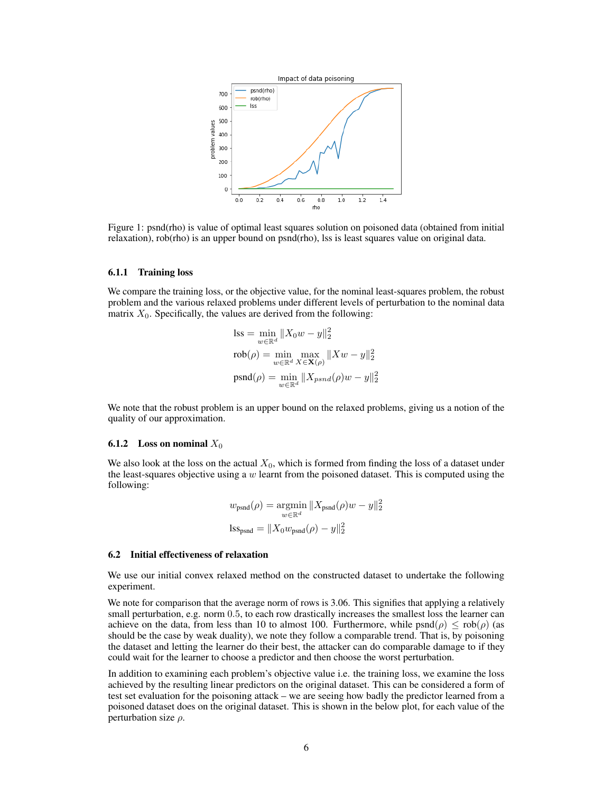

Figure 1: psnd(rho) is value of optimal least squares solution on poisoned data (obtained from initial relaxation), rob(rho) is an upper bound on psnd(rho), lss is least squares value on original data.

#### 6.1.1 Training loss

We compare the training loss, or the objective value, for the nominal least-squares problem, the robust problem and the various relaxed problems under different levels of perturbation to the nominal data matrix  $X_0$ . Specifically, the values are derived from the following:

$$
\begin{aligned} \text{lss} &= \min_{w \in \mathbb{R}^d} \|X_0 w - y\|_2^2 \\ \text{rob}(\rho) &= \min_{w \in \mathbb{R}^d} \max_{X \in \mathbf{X}(\rho)} \|Xw - y\|_2^2 \\ \text{psnd}(\rho) &= \min_{w \in \mathbb{R}^d} \|X_{psnd}(\rho)w - y\|_2^2 \end{aligned}
$$

We note that the robust problem is an upper bound on the relaxed problems, giving us a notion of the quality of our approximation.

#### **6.1.2** Loss on nominal  $X_0$

We also look at the loss on the actual  $X_0$ , which is formed from finding the loss of a dataset under the least-squares objective using a  $w$  learnt from the poisoned dataset. This is computed using the following:

$$
w_{\text{psnd}}(\rho) = \underset{w \in \mathbb{R}^d}{\text{argmin}} \|X_{\text{psnd}}(\rho)w - y\|_2^2
$$
  

$$
\text{lss}_{\text{psnd}} = \|X_0 w_{\text{psnd}}(\rho) - y\|_2^2
$$

#### 6.2 Initial effectiveness of relaxation

We use our initial convex relaxed method on the constructed dataset to undertake the following experiment.

We note for comparison that the average norm of rows is 3.06. This signifies that applying a relatively small perturbation, e.g. norm 0.5, to each row drastically increases the smallest loss the learner can achieve on the data, from less than 10 to almost 100. Furthermore, while  $psnd(\rho) \leq rob(\rho)$  (as should be the case by weak duality), we note they follow a comparable trend. That is, by poisoning the dataset and letting the learner do their best, the attacker can do comparable damage to if they could wait for the learner to choose a predictor and then choose the worst perturbation.

In addition to examining each problem's objective value i.e. the training loss, we examine the loss achieved by the resulting linear predictors on the original dataset. This can be considered a form of test set evaluation for the poisoning attack – we are seeing how badly the predictor learned from a poisoned dataset does on the original dataset. This is shown in the below plot, for each value of the perturbation size  $\rho$ .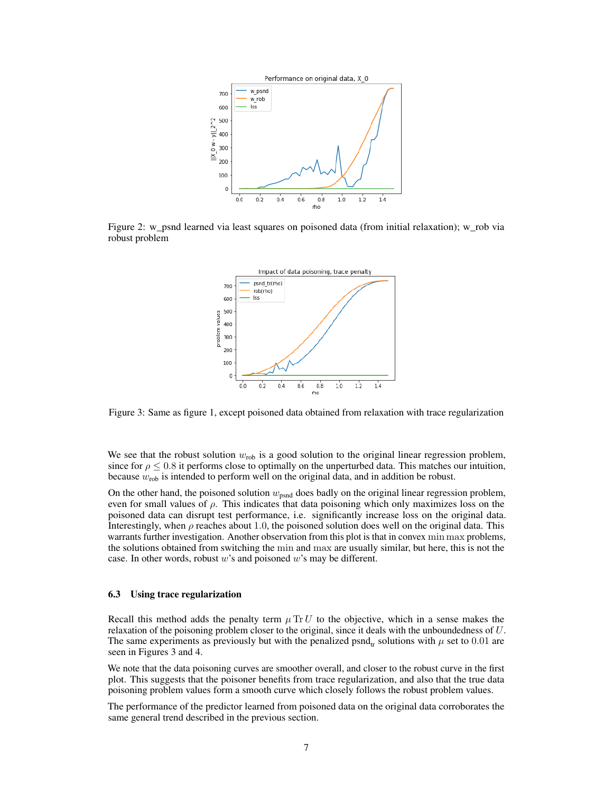

Figure 2: w\_psnd learned via least squares on poisoned data (from initial relaxation); w\_rob via robust problem



Figure 3: Same as figure 1, except poisoned data obtained from relaxation with trace regularization

We see that the robust solution  $w_{\text{rob}}$  is a good solution to the original linear regression problem, since for  $\rho \leq 0.8$  it performs close to optimally on the unperturbed data. This matches our intuition, because  $w_{\text{rob}}$  is intended to perform well on the original data, and in addition be robust.

On the other hand, the poisoned solution  $w_{psnd}$  does badly on the original linear regression problem, even for small values of  $\rho$ . This indicates that data poisoning which only maximizes loss on the poisoned data can disrupt test performance, i.e. significantly increase loss on the original data. Interestingly, when  $\rho$  reaches about 1.0, the poisoned solution does well on the original data. This warrants further investigation. Another observation from this plot is that in convex min max problems, the solutions obtained from switching the min and max are usually similar, but here, this is not the case. In other words, robust  $w$ 's and poisoned  $w$ 's may be different.

#### 6.3 Using trace regularization

Recall this method adds the penalty term  $\mu$  Tr U to the objective, which in a sense makes the relaxation of the poisoning problem closer to the original, since it deals with the unboundedness of U. The same experiments as previously but with the penalized psnd<sub>r</sub> solutions with  $\mu$  set to 0.01 are seen in Figures 3 and 4.

We note that the data poisoning curves are smoother overall, and closer to the robust curve in the first plot. This suggests that the poisoner benefits from trace regularization, and also that the true data poisoning problem values form a smooth curve which closely follows the robust problem values.

The performance of the predictor learned from poisoned data on the original data corroborates the same general trend described in the previous section.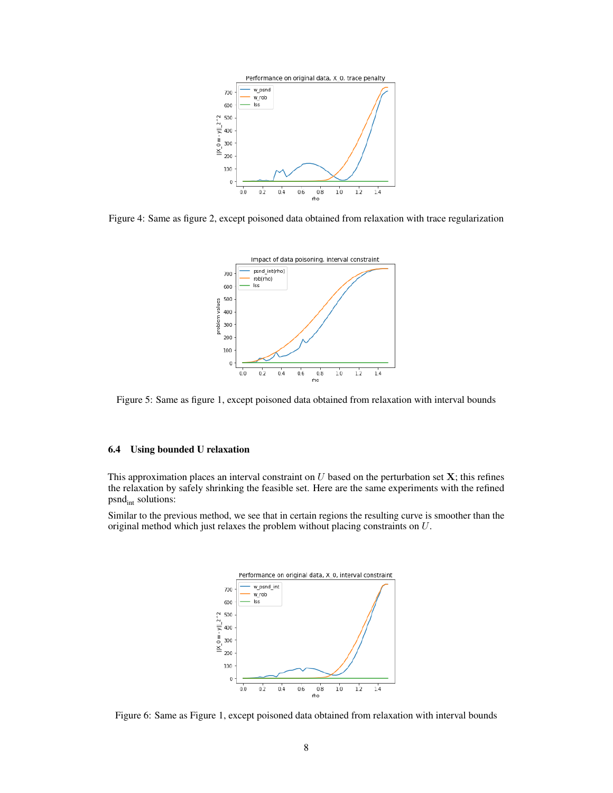

Figure 4: Same as figure 2, except poisoned data obtained from relaxation with trace regularization



Figure 5: Same as figure 1, except poisoned data obtained from relaxation with interval bounds

#### 6.4 Using bounded U relaxation

This approximation places an interval constraint on  $U$  based on the perturbation set  $X$ ; this refines the relaxation by safely shrinking the feasible set. Here are the same experiments with the refined  $psnd<sub>int</sub>$  solutions:

Similar to the previous method, we see that in certain regions the resulting curve is smoother than the original method which just relaxes the problem without placing constraints on U.



Figure 6: Same as Figure 1, except poisoned data obtained from relaxation with interval bounds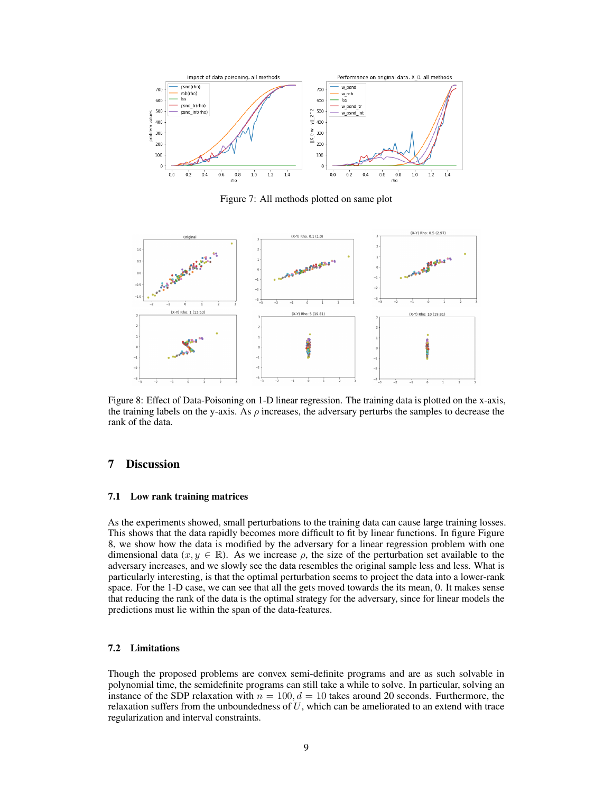

Figure 7: All methods plotted on same plot



Figure 8: Effect of Data-Poisoning on 1-D linear regression. The training data is plotted on the x-axis, the training labels on the y-axis. As  $\rho$  increases, the adversary perturbs the samples to decrease the rank of the data.

# 7 Discussion

#### 7.1 Low rank training matrices

As the experiments showed, small perturbations to the training data can cause large training losses. This shows that the data rapidly becomes more difficult to fit by linear functions. In figure Figure 8, we show how the data is modified by the adversary for a linear regression problem with one dimensional data  $(x, y \in \mathbb{R})$ . As we increase  $\rho$ , the size of the perturbation set available to the adversary increases, and we slowly see the data resembles the original sample less and less. What is particularly interesting, is that the optimal perturbation seems to project the data into a lower-rank space. For the 1-D case, we can see that all the gets moved towards the its mean, 0. It makes sense that reducing the rank of the data is the optimal strategy for the adversary, since for linear models the predictions must lie within the span of the data-features.

#### 7.2 Limitations

Though the proposed problems are convex semi-definite programs and are as such solvable in polynomial time, the semidefinite programs can still take a while to solve. In particular, solving an instance of the SDP relaxation with  $n = 100, d = 10$  takes around 20 seconds. Furthermore, the relaxation suffers from the unboundedness of  $U$ , which can be ameliorated to an extend with trace regularization and interval constraints.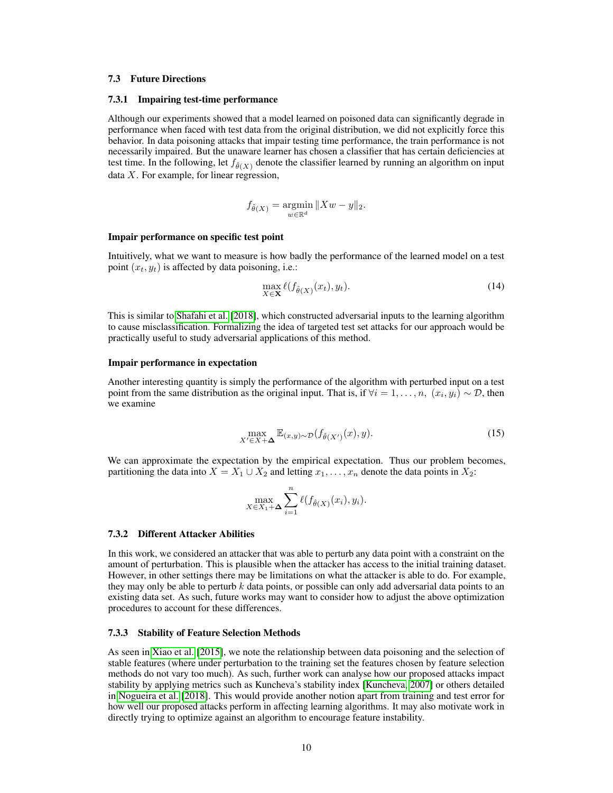#### 7.3 Future Directions

#### 7.3.1 Impairing test-time performance

Although our experiments showed that a model learned on poisoned data can significantly degrade in performance when faced with test data from the original distribution, we did not explicitly force this behavior. In data poisoning attacks that impair testing time performance, the train performance is not necessarily impaired. But the unaware learner has chosen a classifier that has certain deficiencies at test time. In the following, let  $f_{\hat{\theta}(X)}$  denote the classifier learned by running an algorithm on input data X. For example, for linear regression,

$$
f_{\hat{\theta}(X)} = \underset{w \in \mathbb{R}^d}{\operatorname{argmin}} \|Xw - y\|_2.
$$

#### Impair performance on specific test point

Intuitively, what we want to measure is how badly the performance of the learned model on a test point  $(x_t, y_t)$  is affected by data poisoning, i.e.:

$$
\max_{X \in \mathbf{X}} \ell(f_{\hat{\theta}(X)}(x_t), y_t). \tag{14}
$$

This is similar to [Shafahi et al.](#page-11-2) [\[2018\]](#page-11-2), which constructed adversarial inputs to the learning algorithm to cause misclassification. Formalizing the idea of targeted test set attacks for our approach would be practically useful to study adversarial applications of this method.

#### Impair performance in expectation

Another interesting quantity is simply the performance of the algorithm with perturbed input on a test point from the same distribution as the original input. That is, if  $\forall i = 1, \dots, n$ ,  $(x_i, y_i) \sim \mathcal{D}$ , then we examine

$$
\max_{X' \in X + \Delta} \mathbb{E}_{(x,y) \sim \mathcal{D}}(f_{\hat{\theta}(X')}(x), y). \tag{15}
$$

We can approximate the expectation by the empirical expectation. Thus our problem becomes, partitioning the data into  $X = X_1 \cup X_2$  and letting  $x_1, \ldots, x_n$  denote the data points in  $X_2$ :

$$
\max_{X \in X_1 + \Delta} \sum_{i=1}^n \ell(f_{\hat{\theta}(X)}(x_i), y_i).
$$

### 7.3.2 Different Attacker Abilities

In this work, we considered an attacker that was able to perturb any data point with a constraint on the amount of perturbation. This is plausible when the attacker has access to the initial training dataset. However, in other settings there may be limitations on what the attacker is able to do. For example, they may only be able to perturb  $k$  data points, or possible can only add adversarial data points to an existing data set. As such, future works may want to consider how to adjust the above optimization procedures to account for these differences.

#### 7.3.3 Stability of Feature Selection Methods

As seen in [Xiao et al.](#page-11-6) [\[2015\]](#page-11-6), we note the relationship between data poisoning and the selection of stable features (where under perturbation to the training set the features chosen by feature selection methods do not vary too much). As such, further work can analyse how our proposed attacks impact stability by applying metrics such as Kuncheva's stability index [\[Kuncheva, 2007\]](#page-11-8) or others detailed in [Nogueira et al.](#page-11-9) [\[2018\]](#page-11-9). This would provide another notion apart from training and test error for how well our proposed attacks perform in affecting learning algorithms. It may also motivate work in directly trying to optimize against an algorithm to encourage feature instability.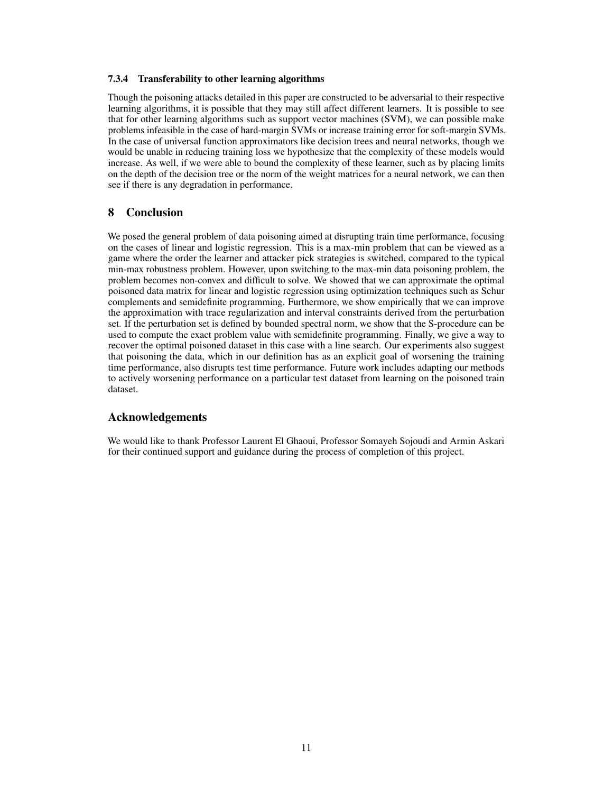#### 7.3.4 Transferability to other learning algorithms

Though the poisoning attacks detailed in this paper are constructed to be adversarial to their respective learning algorithms, it is possible that they may still affect different learners. It is possible to see that for other learning algorithms such as support vector machines (SVM), we can possible make problems infeasible in the case of hard-margin SVMs or increase training error for soft-margin SVMs. In the case of universal function approximators like decision trees and neural networks, though we would be unable in reducing training loss we hypothesize that the complexity of these models would increase. As well, if we were able to bound the complexity of these learner, such as by placing limits on the depth of the decision tree or the norm of the weight matrices for a neural network, we can then see if there is any degradation in performance.

# 8 Conclusion

We posed the general problem of data poisoning aimed at disrupting train time performance, focusing on the cases of linear and logistic regression. This is a max-min problem that can be viewed as a game where the order the learner and attacker pick strategies is switched, compared to the typical min-max robustness problem. However, upon switching to the max-min data poisoning problem, the problem becomes non-convex and difficult to solve. We showed that we can approximate the optimal poisoned data matrix for linear and logistic regression using optimization techniques such as Schur complements and semidefinite programming. Furthermore, we show empirically that we can improve the approximation with trace regularization and interval constraints derived from the perturbation set. If the perturbation set is defined by bounded spectral norm, we show that the S-procedure can be used to compute the exact problem value with semidefinite programming. Finally, we give a way to recover the optimal poisoned dataset in this case with a line search. Our experiments also suggest that poisoning the data, which in our definition has as an explicit goal of worsening the training time performance, also disrupts test time performance. Future work includes adapting our methods to actively worsening performance on a particular test dataset from learning on the poisoned train dataset.

# Acknowledgements

We would like to thank Professor Laurent El Ghaoui, Professor Somayeh Sojoudi and Armin Askari for their continued support and guidance during the process of completion of this project.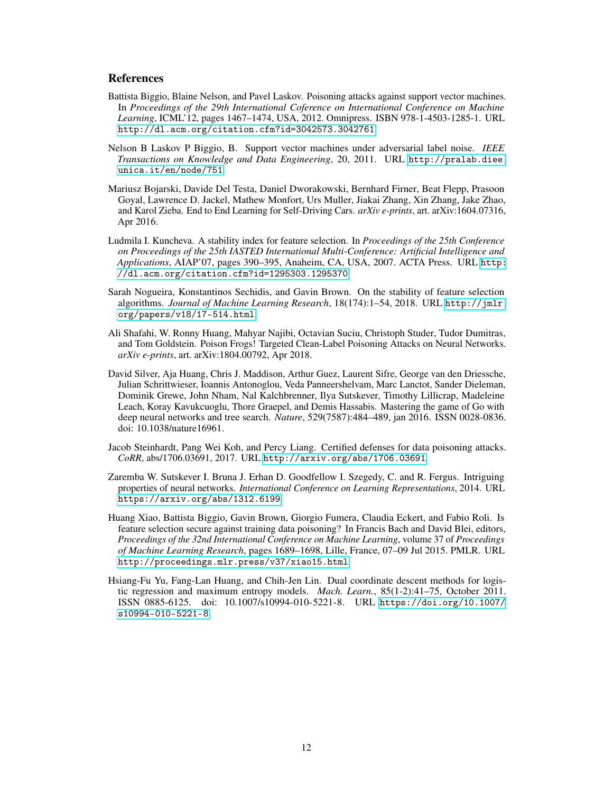# **References**

- <span id="page-11-3"></span>Battista Biggio, Blaine Nelson, and Pavel Laskov. Poisoning attacks against support vector machines. In *Proceedings of the 29th International Coference on International Conference on Machine Learning*, ICML'12, pages 1467–1474, USA, 2012. Omnipress. ISBN 978-1-4503-1285-1. URL <http://dl.acm.org/citation.cfm?id=3042573.3042761>.
- <span id="page-11-5"></span>Nelson B Laskov P Biggio, B. Support vector machines under adversarial label noise. *IEEE Transactions on Knowledge and Data Engineering*, 20, 2011. URL [http://pralab.diee.](http://pralab.diee.unica.it/en/node/751) [unica.it/en/node/751](http://pralab.diee.unica.it/en/node/751).
- <span id="page-11-0"></span>Mariusz Bojarski, Davide Del Testa, Daniel Dworakowski, Bernhard Firner, Beat Flepp, Prasoon Goyal, Lawrence D. Jackel, Mathew Monfort, Urs Muller, Jiakai Zhang, Xin Zhang, Jake Zhao, and Karol Zieba. End to End Learning for Self-Driving Cars. *arXiv e-prints*, art. arXiv:1604.07316, Apr 2016.
- <span id="page-11-8"></span>Ludmila I. Kuncheva. A stability index for feature selection. In *Proceedings of the 25th Conference on Proceedings of the 25th IASTED International Multi-Conference: Artificial Intelligence and Applications*, AIAP'07, pages 390–395, Anaheim, CA, USA, 2007. ACTA Press. URL [http:](http://dl.acm.org/citation.cfm?id=1295303.1295370) [//dl.acm.org/citation.cfm?id=1295303.1295370](http://dl.acm.org/citation.cfm?id=1295303.1295370).
- <span id="page-11-9"></span>Sarah Nogueira, Konstantinos Sechidis, and Gavin Brown. On the stability of feature selection algorithms. *Journal of Machine Learning Research*, 18(174):1–54, 2018. URL [http://jmlr.](http://jmlr.org/papers/v18/17-514.html) [org/papers/v18/17-514.html](http://jmlr.org/papers/v18/17-514.html).
- <span id="page-11-2"></span>Ali Shafahi, W. Ronny Huang, Mahyar Najibi, Octavian Suciu, Christoph Studer, Tudor Dumitras, and Tom Goldstein. Poison Frogs! Targeted Clean-Label Poisoning Attacks on Neural Networks. *arXiv e-prints*, art. arXiv:1804.00792, Apr 2018.
- <span id="page-11-1"></span>David Silver, Aja Huang, Chris J. Maddison, Arthur Guez, Laurent Sifre, George van den Driessche, Julian Schrittwieser, Ioannis Antonoglou, Veda Panneershelvam, Marc Lanctot, Sander Dieleman, Dominik Grewe, John Nham, Nal Kalchbrenner, Ilya Sutskever, Timothy Lillicrap, Madeleine Leach, Koray Kavukcuoglu, Thore Graepel, and Demis Hassabis. Mastering the game of Go with deep neural networks and tree search. *Nature*, 529(7587):484–489, jan 2016. ISSN 0028-0836. doi: 10.1038/nature16961.
- <span id="page-11-7"></span>Jacob Steinhardt, Pang Wei Koh, and Percy Liang. Certified defenses for data poisoning attacks. *CoRR*, abs/1706.03691, 2017. URL <http://arxiv.org/abs/1706.03691>.
- <span id="page-11-4"></span>Zaremba W. Sutskever I. Bruna J. Erhan D. Goodfellow I. Szegedy, C. and R. Fergus. Intriguing properties of neural networks. *International Conference on Learning Representations*, 2014. URL <https://arxiv.org/abs/1312.6199>.
- <span id="page-11-6"></span>Huang Xiao, Battista Biggio, Gavin Brown, Giorgio Fumera, Claudia Eckert, and Fabio Roli. Is feature selection secure against training data poisoning? In Francis Bach and David Blei, editors, *Proceedings of the 32nd International Conference on Machine Learning*, volume 37 of *Proceedings of Machine Learning Research*, pages 1689–1698, Lille, France, 07–09 Jul 2015. PMLR. URL <http://proceedings.mlr.press/v37/xiao15.html>.
- <span id="page-11-10"></span>Hsiang-Fu Yu, Fang-Lan Huang, and Chih-Jen Lin. Dual coordinate descent methods for logistic regression and maximum entropy models. *Mach. Learn.*, 85(1-2):41–75, October 2011. ISSN 0885-6125. doi: 10.1007/s10994-010-5221-8. URL [https://doi.org/10.1007/](https://doi.org/10.1007/s10994-010-5221-8) [s10994-010-5221-8](https://doi.org/10.1007/s10994-010-5221-8).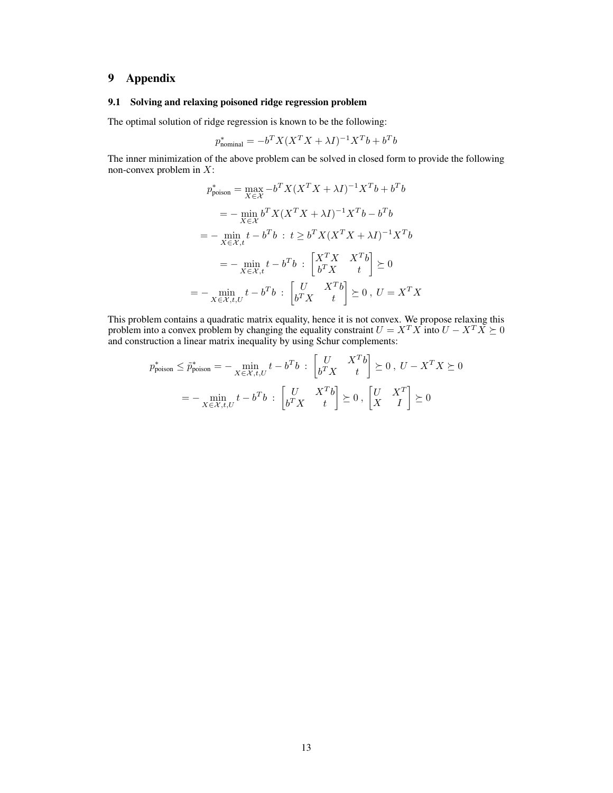# 9 Appendix

#### <span id="page-12-0"></span>9.1 Solving and relaxing poisoned ridge regression problem

The optimal solution of ridge regression is known to be the following:

$$
p_{\text{nominal}}^* = -b^T X (X^T X + \lambda I)^{-1} X^T b + b^T b
$$

The inner minimization of the above problem can be solved in closed form to provide the following non-convex problem in  $X$ :

$$
p_{\text{poison}}^{*} = \max_{X \in \mathcal{X}} -b^{T} X (X^{T} X + \lambda I)^{-1} X^{T} b + b^{T} b
$$
  

$$
= -\min_{X \in \mathcal{X}} b^{T} X (X^{T} X + \lambda I)^{-1} X^{T} b - b^{T} b
$$
  

$$
= -\min_{X \in \mathcal{X}, t} t - b^{T} b : t \geq b^{T} X (X^{T} X + \lambda I)^{-1} X^{T} b
$$
  

$$
= -\min_{X \in \mathcal{X}, t, t} t - b^{T} b : \begin{bmatrix} X^{T} X & X^{T} b \\ b^{T} X & t \end{bmatrix} \succeq 0
$$
  

$$
= -\min_{X \in \mathcal{X}, t, U} t - b^{T} b : \begin{bmatrix} U & X^{T} b \\ b^{T} X & t \end{bmatrix} \succeq 0, U = X^{T} X
$$

This problem contains a quadratic matrix equality, hence it is not convex. We propose relaxing this problem into a convex problem by changing the equality constraint  $U = X^T X$  into  $U - X^T X \succeq 0$ and construction a linear matrix inequality by using Schur complements:

$$
p_{\text{poison}}^* \le \tilde{p}_{\text{poison}}^* = -\min_{X \in \mathcal{X}, t, U} t - b^T b \; : \; \begin{bmatrix} U & X^T b \\ b^T X & t \end{bmatrix} \succeq 0 \;, \; U - X^T X \succeq 0
$$
\n
$$
= -\min_{X \in \mathcal{X}, t, U} t - b^T b \; : \; \begin{bmatrix} U & X^T b \\ b^T X & t \end{bmatrix} \succeq 0 \;, \; \begin{bmatrix} U & X^T \\ X & I \end{bmatrix} \succeq 0
$$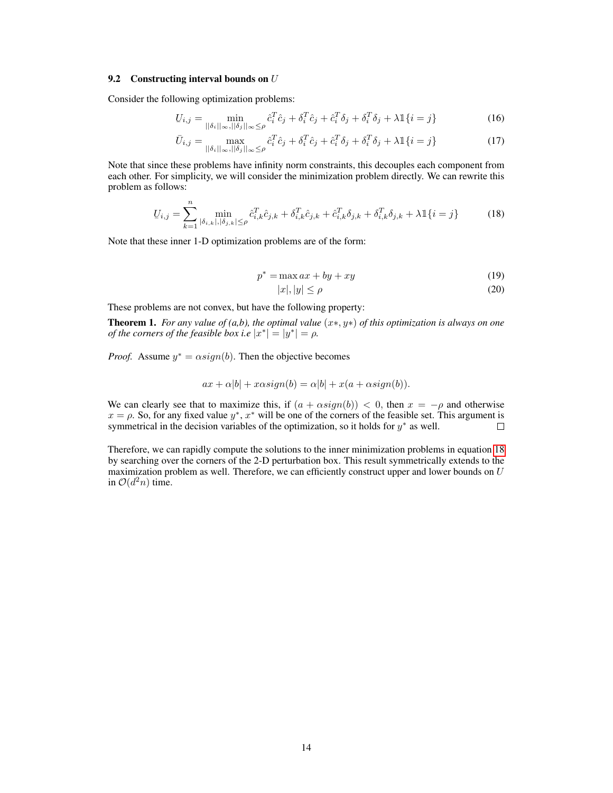#### 9.2 Constructing interval bounds on  $U$

Consider the following optimization problems:

$$
U_{i,j} = \min_{\|\delta_i\|_{\infty}, \|\delta_j\|_{\infty} \leq \rho} \hat{c}_i^T \hat{c}_j + \delta_i^T \hat{c}_j + \hat{c}_i^T \delta_j + \delta_i^T \delta_j + \lambda \mathbb{1}\{i = j\}
$$
(16)

$$
\bar{U}_{i,j} = \max_{\|\delta_i\|_{\infty}, \|\delta_j\|_{\infty} \leq \rho} \hat{c}_i^T \hat{c}_j + \delta_i^T \hat{c}_j + \hat{c}_i^T \delta_j + \delta_i^T \delta_j + \lambda \mathbb{1}\{i = j\}
$$
\n(17)

Note that since these problems have infinity norm constraints, this decouples each component from each other. For simplicity, we will consider the minimization problem directly. We can rewrite this problem as follows:

$$
U_{i,j} = \sum_{k=1}^{n} \min_{|\delta_{i,k}|, |\delta_{j,k}| \le \rho} \hat{c}_{i,k}^T \hat{c}_{j,k} + \delta_{i,k}^T \hat{c}_{j,k} + \hat{c}_{i,k}^T \delta_{j,k} + \delta_{i,k}^T \delta_{j,k} + \lambda \mathbb{1}\{i=j\}
$$
 (18)

Note that these inner 1-D optimization problems are of the form:

$$
p^* = \max ax + by + xy \tag{19}
$$

<span id="page-13-0"></span>
$$
|x|, |y| \le \rho \tag{20}
$$

These problems are not convex, but have the following property:

Theorem 1. *For any value of (a,b), the optimal value* (x∗, y∗) *of this optimization is always on one of the corners of the feasible box i.e*  $|x^*| = |y^*| = \rho$ .

*Proof.* Assume  $y^* = \alpha sign(b)$ . Then the objective becomes

$$
ax + \alpha |b| + x \alpha sign(b) = \alpha |b| + x(a + \alpha sign(b)).
$$

We can clearly see that to maximize this, if  $(a + \alpha sign(b)) < 0$ , then  $x = -\rho$  and otherwise  $x = \rho$ . So, for any fixed value  $y^*$ ,  $x^*$  will be one of the corners of the feasible set. This argument is symmetrical in the decision variables of the optimization, so it holds for  $y^*$  as well.  $\Box$ 

Therefore, we can rapidly compute the solutions to the inner minimization problems in equation [18](#page-13-0) by searching over the corners of the 2-D perturbation box. This result symmetrically extends to the maximization problem as well. Therefore, we can efficiently construct upper and lower bounds on  $U$ in  $\mathcal{O}(d^2n)$  time.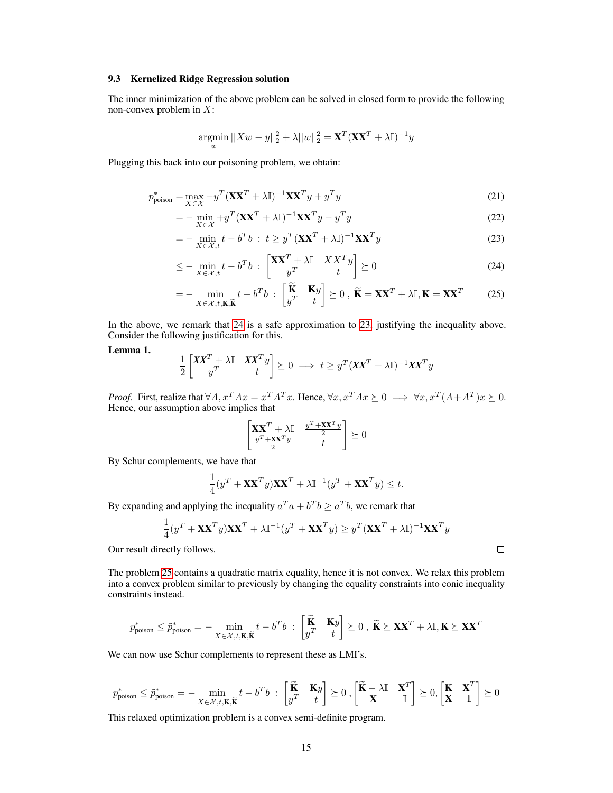#### <span id="page-14-0"></span>9.3 Kernelized Ridge Regression solution

The inner minimization of the above problem can be solved in closed form to provide the following non-convex problem in  $X$ :

<span id="page-14-2"></span>
$$
\underset{w}{\text{argmin}} ||Xw - y||_2^2 + \lambda ||w||_2^2 = \mathbf{X}^T (\mathbf{X} \mathbf{X}^T + \lambda \mathbb{I})^{-1} y
$$

Plugging this back into our poisoning problem, we obtain:

$$
p_{\text{poison}}^* = \max_{X \in \mathcal{X}} -y^T (\mathbf{X} \mathbf{X}^T + \lambda \mathbb{I})^{-1} \mathbf{X} \mathbf{X}^T y + y^T y \tag{21}
$$

$$
= -\min_{X \in \mathcal{X}} \left( \mathbf{X} \mathbf{X}^T + \lambda \mathbb{I} \right)^{-1} \mathbf{X} \mathbf{X}^T y - y^T y \tag{22}
$$

$$
= -\min_{X \in \mathcal{X}, t} t - b^T b \; : \; t \ge y^T (\mathbf{X} \mathbf{X}^T + \lambda \mathbb{I})^{-1} \mathbf{X} \mathbf{X}^T y \tag{23}
$$

$$
\leq -\min_{X \in \mathcal{X}, t} t - b^T b \; : \; \begin{bmatrix} \mathbf{X} \mathbf{X}^T + \lambda \mathbb{I} & X X^T y \\ y^T & t \end{bmatrix} \succeq 0 \tag{24}
$$

$$
= - \min_{X \in \mathcal{X}, t, \mathbf{K}, \widetilde{\mathbf{K}}} t - b^T b \; : \; \begin{bmatrix} \widetilde{\mathbf{K}} & \mathbf{K} y \\ y^T & t \end{bmatrix} \succeq 0 \; , \; \widetilde{\mathbf{K}} = \mathbf{X} \mathbf{X}^T + \lambda \mathbb{I}, \mathbf{K} = \mathbf{X} \mathbf{X}^T \tag{25}
$$

In the above, we remark that [24](#page-14-1) is a safe approximation to [23,](#page-14-2) justifying the inequality above. Consider the following justification for this.

#### Lemma 1.

$$
\frac{1}{2} \begin{bmatrix} XX^T + \lambda \mathbb{I} & XX^T y \\ y^T & t \end{bmatrix} \succeq 0 \implies t \ge y^T (XX^T + \lambda \mathbb{I})^{-1} XX^T y
$$

*Proof.* First, realize that  $\forall A, x^T A x = x^T A^T x$ . Hence,  $\forall x, x^T A x \succeq 0 \implies \forall x, x^T (A + A^T) x \succeq 0$ . Hence, our assumption above implies that

$$
\begin{bmatrix} \mathbf{X} \mathbf{X}^T + \lambda \mathbb{I} & \frac{y^T + \mathbf{X} \mathbf{X}^T y}{2} \\ \frac{y^T + \mathbf{X} \mathbf{X}^T y}{2} & t \end{bmatrix} \succeq 0
$$

By Schur complements, we have that

$$
\frac{1}{4}(y^T + \mathbf{X}\mathbf{X}^T y)\mathbf{X}\mathbf{X}^T + \lambda \mathbb{I}^{-1}(y^T + \mathbf{X}\mathbf{X}^T y) \le t.
$$

By expanding and applying the inequality  $a^T a + b^T b \ge a^T b$ , we remark that

$$
\frac{1}{4}(y^T + \mathbf{X}\mathbf{X}^T y)\mathbf{X}\mathbf{X}^T + \lambda \mathbb{I}^{-1}(y^T + \mathbf{X}\mathbf{X}^T y) \geq y^T (\mathbf{X}\mathbf{X}^T + \lambda \mathbb{I})^{-1} \mathbf{X}\mathbf{X}^T y
$$

Our result directly follows.

The problem [25](#page-14-3) contains a quadratic matrix equality, hence it is not convex. We relax this problem into a convex problem similar to previously by changing the equality constraints into conic inequality constraints instead.

$$
p_{\text{poison}}^* \le \tilde{p}_{\text{poison}}^* = -\min_{X \in \mathcal{X}, t, \mathbf{K}, \widetilde{\mathbf{K}}} t - b^T b \; : \; \begin{bmatrix} \widetilde{\mathbf{K}} & \mathbf{K} y \\ y^T & t \end{bmatrix} \succeq 0 \; , \; \widetilde{\mathbf{K}} \succeq \mathbf{X} \mathbf{X}^T + \lambda \mathbb{I}, \mathbf{K} \succeq \mathbf{X} \mathbf{X}^T
$$

We can now use Schur complements to represent these as LMI's.

$$
p^{*}_{\textrm{poison}} \leq \tilde{p}^{*}_{\textrm{poison}} = - \min_{X \in \mathcal{X}, t, \mathbf{K}, \widetilde{\mathbf{K}}} t - b^T b \; : \; \begin{bmatrix} \widetilde{\mathbf{K}} & \mathbf{K} y \\ y^T & t \end{bmatrix} \succeq 0 \, , \begin{bmatrix} \widetilde{\mathbf{K}} - \lambda \mathbb{I} & \mathbf{X}^T \\ \mathbf{X} & \mathbb{I} \end{bmatrix} \succeq 0, \begin{bmatrix} \mathbf{K} & \mathbf{X}^T \\ \mathbf{X} & \mathbb{I} \end{bmatrix} \succeq 0
$$

This relaxed optimization problem is a convex semi-definite program.

<span id="page-14-3"></span><span id="page-14-1"></span> $\Box$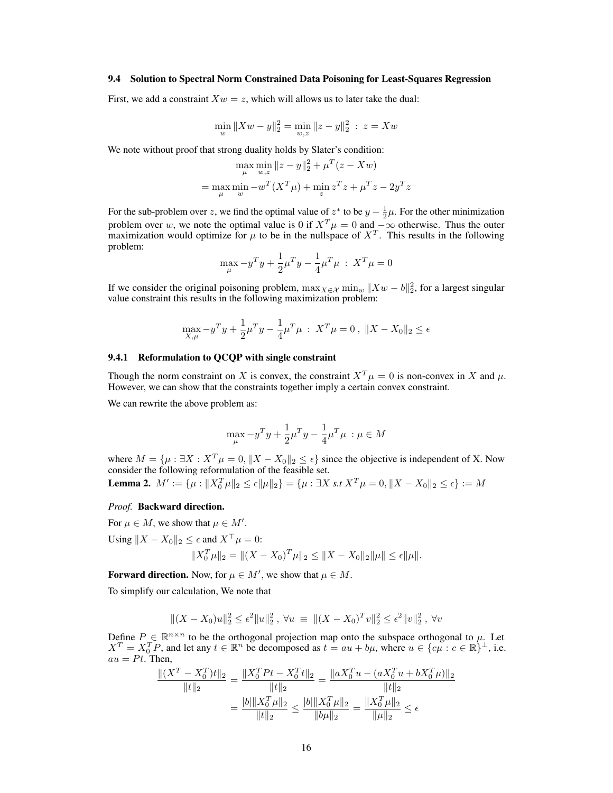#### <span id="page-15-0"></span>9.4 Solution to Spectral Norm Constrained Data Poisoning for Least-Squares Regression

First, we add a constraint  $Xw = z$ , which will allows us to later take the dual:

$$
\min_{w} \|Xw - y\|_2^2 = \min_{w,z} \|z - y\|_2^2 \, : \, z = Xw
$$

We note without proof that strong duality holds by Slater's condition:

$$
\max_{\mu} \min_{w,z} ||z - y||_2^2 + \mu^T (z - Xw)
$$
  
= 
$$
\max_{\mu} \min_{w} -w^T (X^T \mu) + \min_{z} z^T z + \mu^T z - 2y^T z
$$

For the sub-problem over z, we find the optimal value of  $z^*$  to be  $y - \frac{1}{2}\mu$ . For the other minimization problem over w, we note the optimal value is 0 if  $X^T \mu = 0$  and  $-\infty$  otherwise. Thus the outer maximization would optimize for  $\mu$  to be in the nullspace of  $X<sup>T</sup>$ . This results in the following problem:

$$
\max_{\mu} -y^T y + \frac{1}{2} \mu^T y - \frac{1}{4} \mu^T \mu \; : \; X^T \mu = 0
$$

If we consider the original poisoning problem,  $\max_{X \in \mathcal{X}} \min_w ||Xw - b||_2^2$ , for a largest singular value constraint this results in the following maximization problem:

$$
\max_{X,\mu} -y^T y + \frac{1}{2}\mu^T y - \frac{1}{4}\mu^T \mu : X^T \mu = 0, \|X - X_0\|_2 \le \epsilon
$$

### 9.4.1 Reformulation to QCQP with single constraint

Though the norm constraint on X is convex, the constraint  $X^T \mu = 0$  is non-convex in X and  $\mu$ . However, we can show that the constraints together imply a certain convex constraint.

We can rewrite the above problem as:

$$
\max_{\mu} -y^T y + \frac{1}{2} \mu^T y - \frac{1}{4} \mu^T \mu \; : \mu \in M
$$

where  $M = \{\mu : \exists X : X^T\mu = 0, ||X - X_0||_2 \le \epsilon\}$  since the objective is independent of X. Now consider the following reformulation of the feasible set.

**Lemma 2.**  $M' := \{ \mu : \| X_0^T \mu \|_2 \le \epsilon \| \mu \|_2 \} = \{ \mu : \exists X \text{ s.t } X^T \mu = 0, \| X - X_0 \|_2 \le \epsilon \} := M$ 

#### *Proof.* Backward direction.

For  $\mu \in M$ , we show that  $\mu \in M'$ . Using  $||X - X_0||_2 \leq \epsilon$  and  $X^\top \mu = 0$ :  $||X_0^T\mu||_2 = ||(X - X_0)^T\mu||_2 \le ||X - X_0||_2||\mu|| \le \epsilon ||\mu||.$ 

**Forward direction.** Now, for  $\mu \in M'$ , we show that  $\mu \in M$ .

To simplify our calculation, We note that

$$
||(X - X_0)u||_2^2 \le \epsilon^2 ||u||_2^2, \ \forall u \equiv ||(X - X_0)^T v||_2^2 \le \epsilon^2 ||v||_2^2, \ \forall v
$$

Define  $P \in \mathbb{R}^{n \times n}$  to be the orthogonal projection map onto the subspace orthogonal to  $\mu$ . Let  $X^T = X_0^T P$ , and let any  $t \in \mathbb{R}^n$  be decomposed as  $t = au + b\mu$ , where  $u \in \{c\mu : c \in \mathbb{R}\}^{\perp}$ , i.e.  $au = Pt$ . Then,

$$
\frac{\|(X^T - X_0^T)t\|_2}{\|t\|_2} = \frac{\|X_0^T P t - X_0^T t\|_2}{\|t\|_2} = \frac{\|aX_0^T u - (aX_0^T u + bX_0^T \mu)\|_2}{\|t\|_2}
$$

$$
= \frac{|b|\|X_0^T \mu\|_2}{\|t\|_2} \le \frac{|b|\|X_0^T \mu\|_2}{\|b\mu\|_2} = \frac{\|X_0^T \mu\|_2}{\|\mu\|_2} \le \epsilon
$$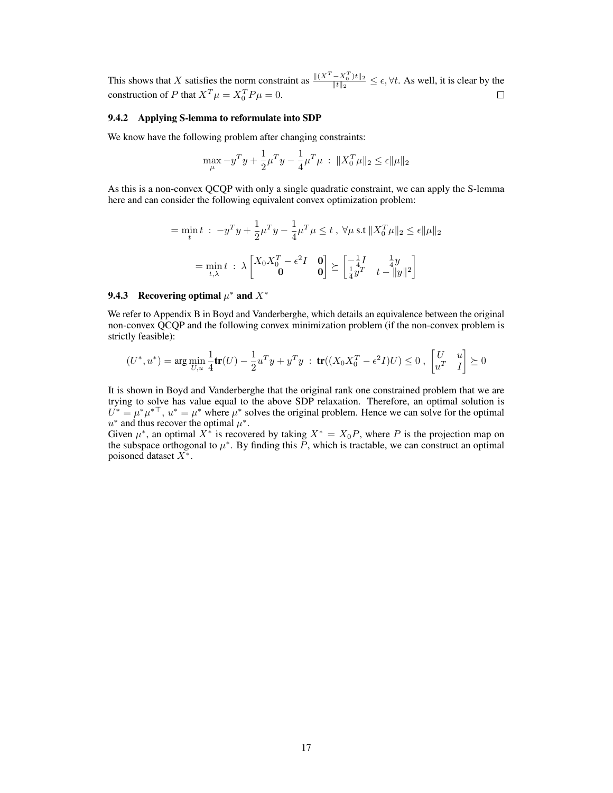This shows that X satisfies the norm constraint as  $\frac{\|(X^T - X_0^T)t\|_2}{\|t\|_2}$  $\frac{-\lambda_0 |t||_2}{\|t\|_2} \leq \epsilon, \forall t$ . As well, it is clear by the construction of P that  $X^T \mu = X_0^T P \mu = 0$ .  $\Box$ 

#### 9.4.2 Applying S-lemma to reformulate into SDP

We know have the following problem after changing constraints:

$$
\max_{\mu} -y^T y + \frac{1}{2} \mu^T y - \frac{1}{4} \mu^T \mu \; : \; \|X_0^T \mu\|_2 \le \epsilon \|\mu\|_2
$$

As this is a non-convex QCQP with only a single quadratic constraint, we can apply the S-lemma here and can consider the following equivalent convex optimization problem:

$$
= \min_{t} t : -y^{T} y + \frac{1}{2} \mu^{T} y - \frac{1}{4} \mu^{T} \mu \leq t, \ \forall \mu \text{ s.t } \|X_{0}^{T} \mu\|_{2} \leq \epsilon \|\mu\|_{2}
$$

$$
= \min_{t,\lambda} t : \lambda \begin{bmatrix} X_{0} X_{0}^{T} - \epsilon^{2} I & \mathbf{0} \\ \mathbf{0} & \mathbf{0} \end{bmatrix} \succeq \begin{bmatrix} -\frac{1}{4} I & \frac{1}{4} y \\ \frac{1}{4} y^{T} & t - \|y\|^{2} \end{bmatrix}
$$

# 9.4.3 Recovering optimal  $\mu^*$  and  $X^*$

We refer to Appendix B in Boyd and Vanderberghe, which details an equivalence between the original non-convex QCQP and the following convex minimization problem (if the non-convex problem is strictly feasible):

$$
(U^*,u^*)=\arg\min_{U,u}\frac{1}{4}\text{tr}(U)-\frac{1}{2}u^Ty+y^Ty\;:\;\text{tr}((X_0X_0^T-\epsilon^2I)U)\leq 0\;,\;\begin{bmatrix}U&u\\u^T&I\end{bmatrix}\succeq 0
$$

It is shown in Boyd and Vanderberghe that the original rank one constrained problem that we are trying to solve has value equal to the above SDP relaxation. Therefore, an optimal solution is  $U^* = \mu^* \mu^{*T}$ ,  $u^* = \mu^*$  where  $\mu^*$  solves the original problem. Hence we can solve for the optimal  $u^*$  and thus recover the optimal  $\mu^*$ .

Given  $\mu^*$ , an optimal  $X^*$  is recovered by taking  $X^* = X_0 P$ , where P is the projection map on the subspace orthogonal to  $\mu^*$ . By finding this P, which is tractable, we can construct an optimal poisoned dataset  $X^*$ .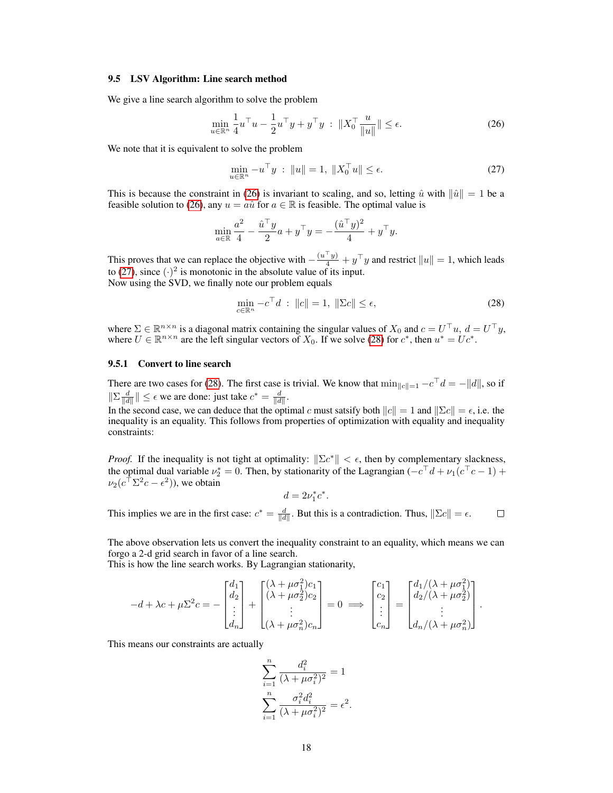#### 9.5 LSV Algorithm: Line search method

We give a line search algorithm to solve the problem

<span id="page-17-0"></span>
$$
\min_{u \in \mathbb{R}^n} \frac{1}{4} u^\top u - \frac{1}{2} u^\top y + y^\top y \; : \; \|X_0^\top \frac{u}{\|u\|} \| \le \epsilon. \tag{26}
$$

We note that it is equivalent to solve the problem

<span id="page-17-1"></span>
$$
\min_{u \in \mathbb{R}^n} -u^{\top} y \; : \; \|u\| = 1, \; \|X_0^{\top} u\| \le \epsilon. \tag{27}
$$

This is because the constraint in [\(26\)](#page-17-0) is invariant to scaling, and so, letting  $\hat{u}$  with  $\|\hat{u}\| = 1$  be a feasible solution to [\(26\)](#page-17-0), any  $u = a\hat{u}$  for  $a \in \mathbb{R}$  is feasible. The optimal value is

$$
\min_{a \in \mathbb{R}} \frac{a^2}{4} - \frac{\hat{u}^\top y}{2} a + y^\top y = -\frac{(\hat{u}^\top y)^2}{4} + y^\top y.
$$

This proves that we can replace the objective with  $-\frac{(u^{\top}y)}{4} + y^{\top}y$  and restrict  $||u|| = 1$ , which leads to [\(27\)](#page-17-1), since  $(\cdot)^2$  is monotonic in the absolute value of its input. Now using the SVD, we finally note our problem equals

<span id="page-17-2"></span>
$$
\min_{c \in \mathbb{R}^n} -c^\top d \; : \; \|c\| = 1, \; \|\Sigma c\| \le \epsilon,\tag{28}
$$

where  $\Sigma \in \mathbb{R}^{n \times n}$  is a diagonal matrix containing the singular values of  $X_0$  and  $c = U^{\top}u$ ,  $d = U^{\top}y$ , where  $U \in \mathbb{R}^{n \times n}$  are the left singular vectors of  $X_0$ . If we solve [\(28\)](#page-17-2) for  $c^*$ , then  $u^* = Uc^*$ .

#### 9.5.1 Convert to line search

There are two cases for [\(28\)](#page-17-2). The first case is trivial. We know that  $\min_{\|c\|=1} -c^{\top}d = -||d||$ , so if  $\|\Sigma \frac{d}{\|d\|}\| \leq \epsilon$  we are done: just take  $c^* = \frac{d}{\|d\|}$ .

In the second case, we can deduce that the optimal c must satsify both  $||c|| = 1$  and  $||\Sigma c|| = \epsilon$ , i.e. the inequality is an equality. This follows from properties of optimization with equality and inequality constraints:

*Proof.* If the inequality is not tight at optimality:  $\|\Sigma c^*\| < \epsilon$ , then by complementary slackness, the optimal dual variable  $\nu_2^* = 0$ . Then, by stationarity of the Lagrangian ( $-c^{\top}d + \nu_1(c^{\top}c - 1)$ ) +  $\nu_2(c^\top \Sigma^2 c - \epsilon^2)$ ), we obtain

$$
d=2\nu_1^*c^*.
$$

This implies we are in the first case:  $c^* = \frac{d}{\|d\|}$ . But this is a contradiction. Thus,  $\|\Sigma c\| = \epsilon$ .  $\Box$ 

The above observation lets us convert the inequality constraint to an equality, which means we can forgo a 2-d grid search in favor of a line search.

This is how the line search works. By Lagrangian stationarity,

$$
-d + \lambda c + \mu \Sigma^2 c = -\begin{bmatrix} d_1 \\ d_2 \\ \vdots \\ d_n \end{bmatrix} + \begin{bmatrix} (\lambda + \mu \sigma_1^2) c_1 \\ (\lambda + \mu \sigma_2^2) c_2 \\ \vdots \\ (\lambda + \mu \sigma_n^2) c_n \end{bmatrix} = 0 \implies \begin{bmatrix} c_1 \\ c_2 \\ \vdots \\ c_n \end{bmatrix} = \begin{bmatrix} d_1/(\lambda + \mu \sigma_1^2) \\ d_2/(\lambda + \mu \sigma_2^2) \\ \vdots \\ d_n/(\lambda + \mu \sigma_n^2) \end{bmatrix}.
$$

This means our constraints are actually

$$
\sum_{i=1}^{n} \frac{d_i^2}{(\lambda + \mu \sigma_i^2)^2} = 1
$$

$$
\sum_{i=1}^{n} \frac{\sigma_i^2 d_i^2}{(\lambda + \mu \sigma_i^2)^2} = \epsilon^2.
$$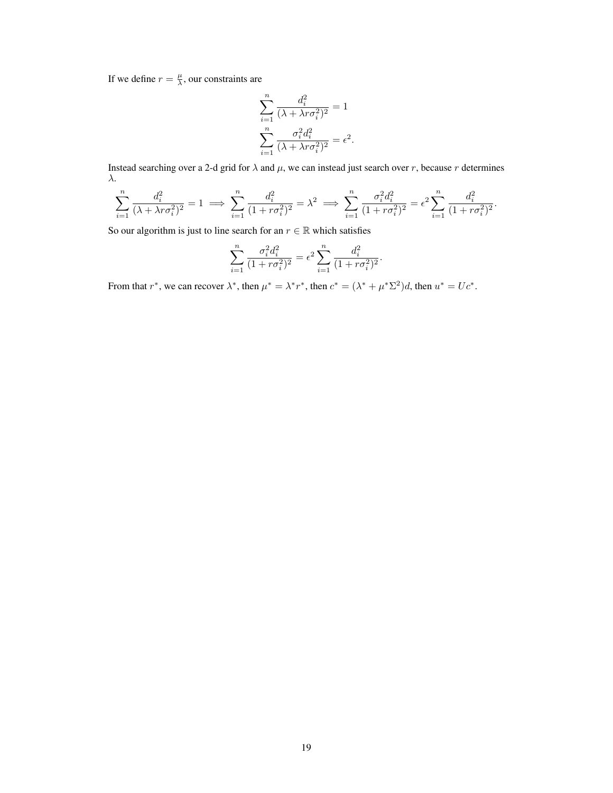If we define  $r = \frac{\mu}{\lambda}$ , our constraints are

$$
\sum_{i=1}^{n} \frac{d_i^2}{(\lambda + \lambda r \sigma_i^2)^2} = 1
$$

$$
\sum_{i=1}^{n} \frac{\sigma_i^2 d_i^2}{(\lambda + \lambda r \sigma_i^2)^2} = \epsilon^2.
$$

Instead searching over a 2-d grid for  $\lambda$  and  $\mu$ , we can instead just search over r, because r determines λ.

$$
\sum_{i=1}^{n} \frac{d_i^2}{(\lambda + \lambda r \sigma_i^2)^2} = 1 \implies \sum_{i=1}^{n} \frac{d_i^2}{(1 + r \sigma_i^2)^2} = \lambda^2 \implies \sum_{i=1}^{n} \frac{\sigma_i^2 d_i^2}{(1 + r \sigma_i^2)^2} = \epsilon^2 \sum_{i=1}^{n} \frac{d_i^2}{(1 + r \sigma_i^2)^2}.
$$

So our algorithm is just to line search for an  $r \in \mathbb{R}$  which satisfies

$$
\sum_{i=1}^{n} \frac{\sigma_i^2 d_i^2}{(1 + r\sigma_i^2)^2} = \epsilon^2 \sum_{i=1}^{n} \frac{d_i^2}{(1 + r\sigma_i^2)^2}.
$$

From that  $r^*$ , we can recover  $\lambda^*$ , then  $\mu^* = \lambda^* r^*$ , then  $c^* = (\lambda^* + \mu^* \Sigma^2) d$ , then  $u^* = Uc^*$ .